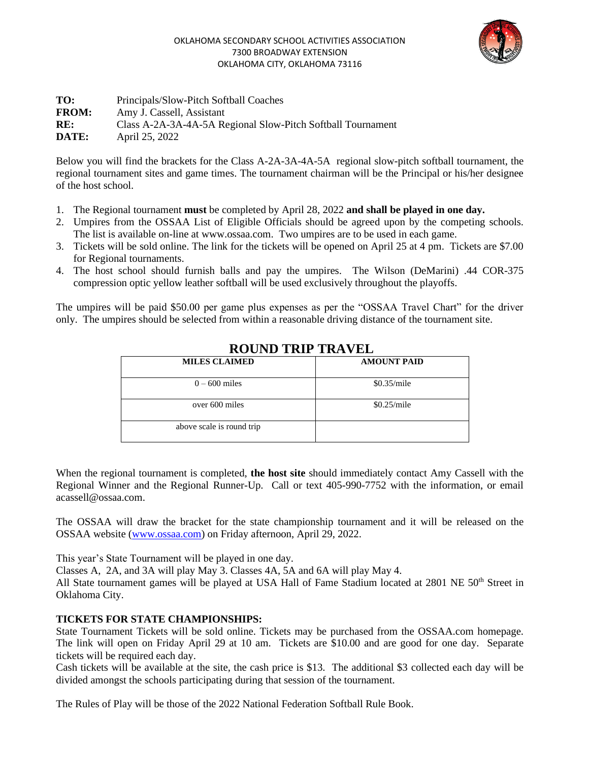#### OKLAHOMA SECONDARY SCHOOL ACTIVITIES ASSOCIATION 7300 BROADWAY EXTENSION OKLAHOMA CITY, OKLAHOMA 73116



| TO:          | Principals/Slow-Pitch Softball Coaches                      |
|--------------|-------------------------------------------------------------|
| <b>FROM:</b> | Amy J. Cassell, Assistant                                   |
| RE:          | Class A-2A-3A-4A-5A Regional Slow-Pitch Softball Tournament |
| <b>DATE:</b> | April 25, 2022                                              |

Below you will find the brackets for the Class A-2A-3A-4A-5A regional slow-pitch softball tournament, the regional tournament sites and game times. The tournament chairman will be the Principal or his/her designee of the host school.

- 1. The Regional tournament **must** be completed by April 28, 2022 **and shall be played in one day.**
- 2. Umpires from the OSSAA List of Eligible Officials should be agreed upon by the competing schools. The list is available on-line at www.ossaa.com. Two umpires are to be used in each game.
- 3. Tickets will be sold online. The link for the tickets will be opened on April 25 at 4 pm. Tickets are \$7.00 for Regional tournaments.
- 4. The host school should furnish balls and pay the umpires. The Wilson (DeMarini) .44 COR-375 compression optic yellow leather softball will be used exclusively throughout the playoffs.

The umpires will be paid \$50.00 per game plus expenses as per the "OSSAA Travel Chart" for the driver only. The umpires should be selected from within a reasonable driving distance of the tournament site.

| <b>MILES CLAIMED</b>      | <b>AMOUNT PAID</b> |  |
|---------------------------|--------------------|--|
| $0 - 600$ miles           | \$0.35/mile        |  |
| over 600 miles            | \$0.25/mile        |  |
| above scale is round trip |                    |  |

### **ROUND TRIP TRAVEL**

When the regional tournament is completed, **the host site** should immediately contact Amy Cassell with the Regional Winner and the Regional Runner-Up. Call or text 405-990-7752 with the information, or email acassell@ossaa.com.

The OSSAA will draw the bracket for the state championship tournament and it will be released on the OSSAA website [\(www.ossaa.com\)](http://www.ossaa.com/) on Friday afternoon, April 29, 2022.

This year's State Tournament will be played in one day.

Classes A, 2A, and 3A will play May 3. Classes 4A, 5A and 6A will play May 4.

All State tournament games will be played at USA Hall of Fame Stadium located at 2801 NE 50<sup>th</sup> Street in Oklahoma City.

### **TICKETS FOR STATE CHAMPIONSHIPS:**

State Tournament Tickets will be sold online. Tickets may be purchased from the OSSAA.com homepage. The link will open on Friday April 29 at 10 am. Tickets are \$10.00 and are good for one day. Separate tickets will be required each day.

Cash tickets will be available at the site, the cash price is \$13. The additional \$3 collected each day will be divided amongst the schools participating during that session of the tournament.

The Rules of Play will be those of the 2022 National Federation Softball Rule Book.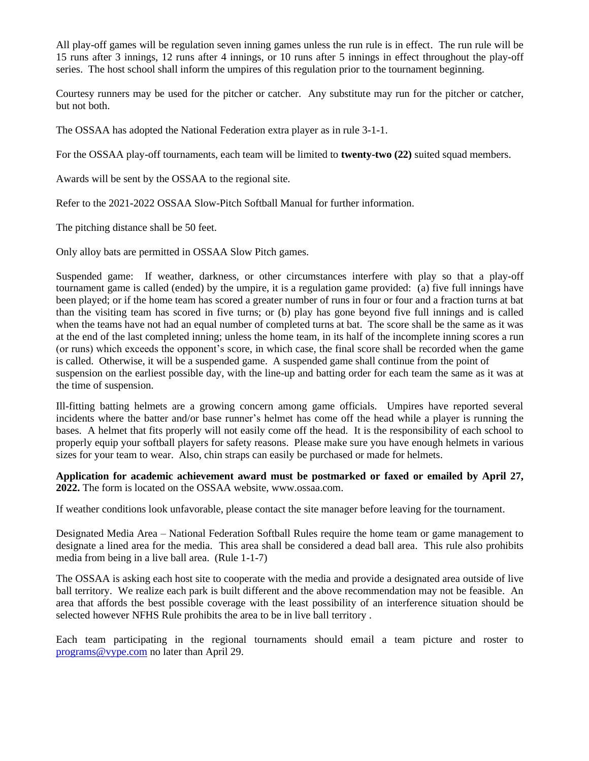All play-off games will be regulation seven inning games unless the run rule is in effect. The run rule will be 15 runs after 3 innings, 12 runs after 4 innings, or 10 runs after 5 innings in effect throughout the play-off series. The host school shall inform the umpires of this regulation prior to the tournament beginning.

Courtesy runners may be used for the pitcher or catcher. Any substitute may run for the pitcher or catcher, but not both.

The OSSAA has adopted the National Federation extra player as in rule 3-1-1.

For the OSSAA play-off tournaments, each team will be limited to **twenty-two (22)** suited squad members.

Awards will be sent by the OSSAA to the regional site.

Refer to the 2021-2022 OSSAA Slow-Pitch Softball Manual for further information.

The pitching distance shall be 50 feet.

Only alloy bats are permitted in OSSAA Slow Pitch games.

Suspended game: If weather, darkness, or other circumstances interfere with play so that a play-off tournament game is called (ended) by the umpire, it is a regulation game provided: (a) five full innings have been played; or if the home team has scored a greater number of runs in four or four and a fraction turns at bat than the visiting team has scored in five turns; or (b) play has gone beyond five full innings and is called when the teams have not had an equal number of completed turns at bat. The score shall be the same as it was at the end of the last completed inning; unless the home team, in its half of the incomplete inning scores a run (or runs) which exceeds the opponent's score, in which case, the final score shall be recorded when the game is called. Otherwise, it will be a suspended game. A suspended game shall continue from the point of suspension on the earliest possible day, with the line-up and batting order for each team the same as it was at the time of suspension.

Ill-fitting batting helmets are a growing concern among game officials. Umpires have reported several incidents where the batter and/or base runner's helmet has come off the head while a player is running the bases. A helmet that fits properly will not easily come off the head. It is the responsibility of each school to properly equip your softball players for safety reasons. Please make sure you have enough helmets in various sizes for your team to wear. Also, chin straps can easily be purchased or made for helmets.

**Application for academic achievement award must be postmarked or faxed or emailed by April 27, 2022.** The form is located on the OSSAA website, www.ossaa.com.

If weather conditions look unfavorable, please contact the site manager before leaving for the tournament.

Designated Media Area – National Federation Softball Rules require the home team or game management to designate a lined area for the media. This area shall be considered a dead ball area. This rule also prohibits media from being in a live ball area. (Rule 1-1-7)

The OSSAA is asking each host site to cooperate with the media and provide a designated area outside of live ball territory. We realize each park is built different and the above recommendation may not be feasible. An area that affords the best possible coverage with the least possibility of an interference situation should be selected however NFHS Rule prohibits the area to be in live ball territory .

Each team participating in the regional tournaments should email a team picture and roster to [programs@vype.com](mailto:programs@vype.com) no later than April 29.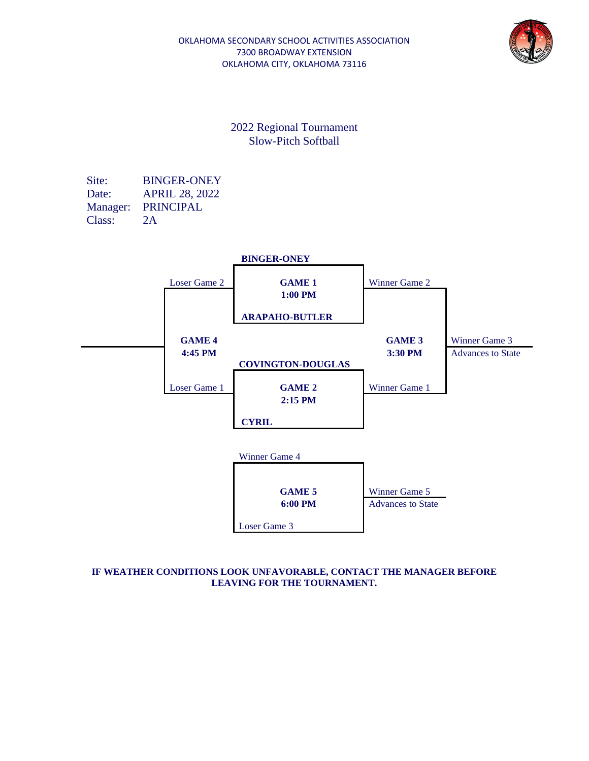

Site: BINGER-ONEY Date: APRIL 28, 2022 Manager: PRINCIPAL Class: 2A



#### **IF WEATHER CONDITIONS LOOK UNFAVORABLE, CONTACT THE MANAGER BEFORE LEAVING FOR THE TOURNAMENT.**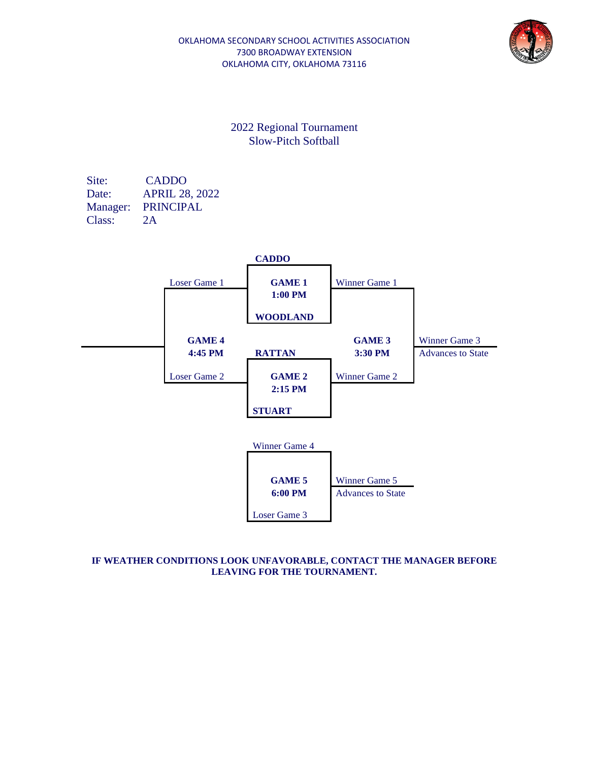

Site: CADDO Date: APRIL 28, 2022 Manager: PRINCIPAL Class: 2A



### **IF WEATHER CONDITIONS LOOK UNFAVORABLE, CONTACT THE MANAGER BEFORE LEAVING FOR THE TOURNAMENT.**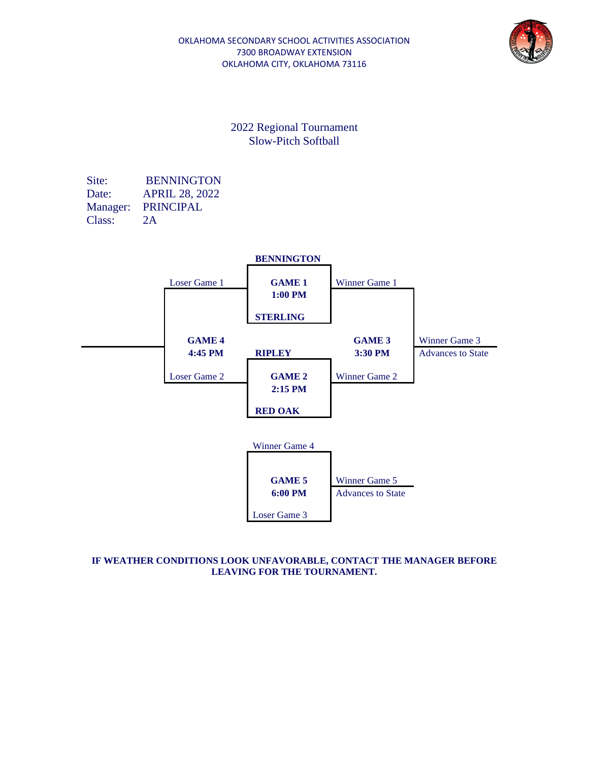

Site: BENNINGTON Date: APRIL 28, 2022 Manager: PRINCIPAL Class: 2A



### **IF WEATHER CONDITIONS LOOK UNFAVORABLE, CONTACT THE MANAGER BEFORE LEAVING FOR THE TOURNAMENT.**